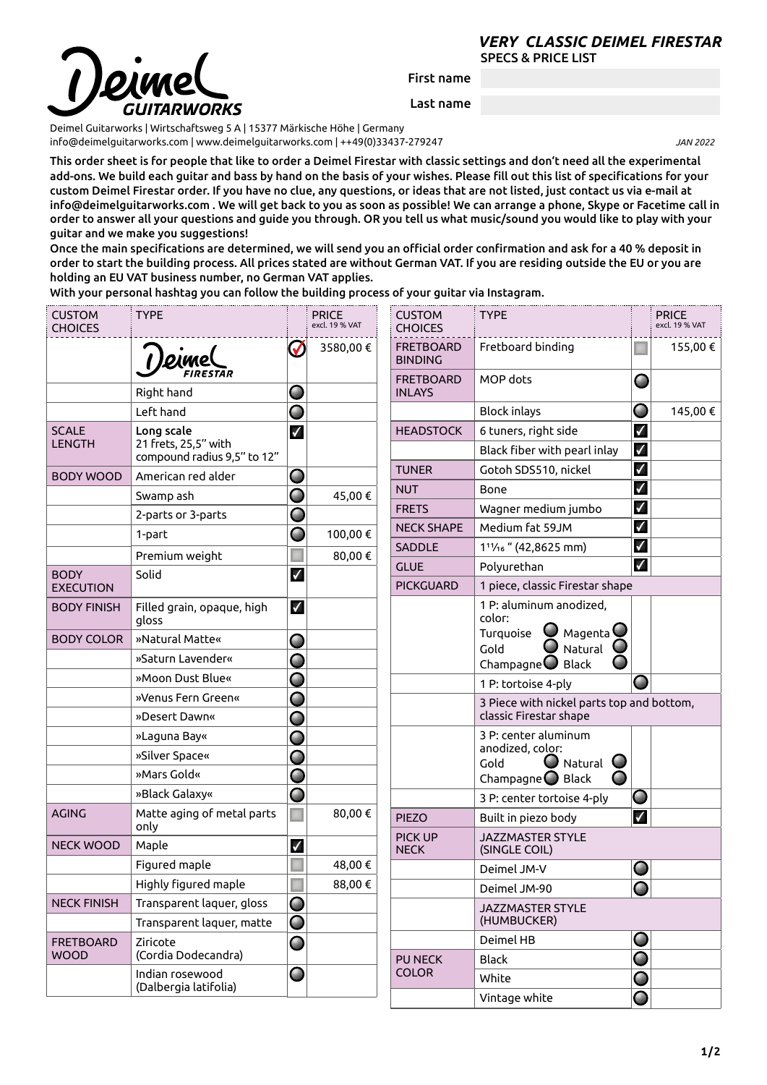## SPECS & PRICE LIST *VERY CLASSIC DEIMEL FIRESTAR*

First name

Last name

Deimel Guitarworks | Wirtschaftsweg 5 A | 15377 Märkische Höhe | Germany [info@deimelguitarworks.com](mailto:info@deimelguitarworks.com) | [www.deimelguitarworks.com](http://www.deimelguitarworks.com) | ++49(0)33437-279247 *JAN 2022* 

This order sheet is for people that like to order a Deimel Firestar with classic settings and don't need all the experimental add-ons. We build each guitar and bass by hand on the basis of your wishes. Please fill out this list of specifications for your custom Deimel Firestar order. If you have no clue, any questions, or ideas that are not listed, just contact us via e-mail at info@deimelguitarworks.com . We will get back to you as soon as possible! We can arrange a phone, Skype or Facetime call in order to answer all your questions and guide you through. OR you tell us what music/sound you would like to play with your guitar and we make you suggestions!

Once the main specifications are determined, we will send you an official order confirmation and ask for a 40 % deposit in order to start the building process. All prices stated are without German VAT. If you are residing outside the EU or you are holding an EU VAT business number, no German VAT applies.

With your personal hashtag you can follow the building process of your guitar via Instagram.

| <b>CUSTOM</b><br><b>CHOICES</b> | <b>TYPE</b>                                         | <b>PRICE</b><br>excl. 19 % VAT |          | <b>CUSTOM</b><br><b>CHOICES</b>    | <b>TYPE</b>                                                                                          |                | <b>PRICE</b><br>excl. 19 % VAT |
|---------------------------------|-----------------------------------------------------|--------------------------------|----------|------------------------------------|------------------------------------------------------------------------------------------------------|----------------|--------------------------------|
|                                 |                                                     | $\sqrt{}$                      | 3580,00€ | <b>FRETBOARD</b><br><b>BINDING</b> | Fretboard binding                                                                                    |                | 155,00 €                       |
|                                 | Right hand                                          | O                              |          | <b>FRETBOARD</b><br><b>INLAYS</b>  | MOP dots                                                                                             | $\blacksquare$ |                                |
|                                 | Left hand                                           | O                              |          |                                    | <b>Block inlays</b>                                                                                  | O              | 145,00 €                       |
| <b>SCALE</b>                    | Long scale                                          | $\checkmark$                   |          | <b>HEADSTOCK</b>                   | 6 tuners, right side                                                                                 | $\checkmark$   |                                |
| <b>LENGTH</b>                   | 21 frets, 25,5" with<br>compound radius 9,5" to 12" |                                |          |                                    | Black fiber with pearl inlay                                                                         | $\checkmark$   |                                |
| <b>BODY WOOD</b>                | American red alder                                  | O                              |          | <b>TUNER</b>                       | Gotoh SDS510, nickel                                                                                 | $\checkmark$   |                                |
|                                 | Swamp ash                                           | O                              | 45,00€   | <b>NUT</b>                         | Bone                                                                                                 | $\checkmark$   |                                |
|                                 | 2-parts or 3-parts                                  | O                              |          | <b>FRETS</b>                       | Wagner medium jumbo                                                                                  | $\checkmark$   |                                |
|                                 | 1-part                                              | O                              | 100,00€  | <b>NECK SHAPE</b>                  | Medium fat 59JM                                                                                      | $\checkmark$   |                                |
|                                 | Premium weight                                      |                                | 80,00€   | <b>SADDLE</b>                      | 1 <sup>1</sup> 1/ <sub>16</sub> " (42,8625 mm)                                                       | $\checkmark$   |                                |
| <b>BODY</b>                     | Solid                                               | $\checkmark$                   |          | <b>GLUE</b>                        | Polyurethan                                                                                          | $\checkmark$   |                                |
| <b>EXECUTION</b>                |                                                     |                                |          | <b>PICKGUARD</b>                   | 1 piece, classic Firestar shape                                                                      |                |                                |
| <b>BODY FINISH</b>              | Filled grain, opaque, high<br>gloss                 | $\checkmark$                   |          |                                    | 1 P: aluminum anodized,<br>color:                                                                    |                |                                |
| <b>BODY COLOR</b>               | »Natural Matte«                                     | O                              |          |                                    | Magenta $\bigcup$<br>Turquoise<br>Natural<br>Gold                                                    |                |                                |
|                                 | »Saturn Lavender«                                   | O                              |          |                                    | Champagne $\bigcirc$ Black                                                                           |                |                                |
|                                 | »Moon Dust Blue«                                    | O                              |          |                                    | 1 P: tortoise 4-ply                                                                                  | Œ              |                                |
|                                 | »Venus Fern Green«                                  | O                              |          |                                    | 3 Piece with nickel parts top and bottom,                                                            |                |                                |
|                                 | »Desert Dawn«                                       | O                              |          |                                    | classic Firestar shape                                                                               |                |                                |
|                                 | »Laguna Bay«                                        | O                              |          |                                    | 3 P: center aluminum<br>anodized, color:<br>Natural $\bigcirc$<br>Gold<br>Champagne $\bigcirc$ Black |                |                                |
|                                 | »Silver Space«                                      | O                              |          |                                    |                                                                                                      |                |                                |
|                                 | »Mars Gold«                                         | O                              |          |                                    |                                                                                                      |                |                                |
|                                 | »Black Galaxy«                                      | O                              |          |                                    | 3 P: center tortoise 4-ply                                                                           | O              |                                |
| <b>AGING</b>                    | Matte aging of metal parts<br>only                  |                                | 80,00€   | <b>PIEZO</b>                       | Built in piezo body                                                                                  | $\checkmark$   |                                |
| <b>NECK WOOD</b>                | Maple                                               | $\checkmark$                   |          | PICK UP<br><b>NECK</b>             | <b>JAZZMASTER STYLE</b><br>(SINGLE COIL)                                                             |                |                                |
|                                 | Figured maple                                       |                                | 48,00 €  |                                    | Deimel JM-V                                                                                          | O              |                                |
|                                 | Highly figured maple                                | $\blacksquare$                 | 88,00€   |                                    | Deimel JM-90                                                                                         | O              |                                |
| <b>NECK FINISH</b>              | Transparent laquer, gloss                           | O                              |          |                                    | <b>JAZZMASTER STYLE</b>                                                                              |                |                                |
|                                 | Transparent laquer, matte                           | O                              |          |                                    | (HUMBUCKER)                                                                                          |                |                                |
| <b>FRETBOARD</b>                | Ziricote                                            | O                              |          |                                    | Deimel HB                                                                                            | O              |                                |
| <b>WOOD</b>                     | (Cordia Dodecandra)                                 |                                |          | PU NECK<br><b>COLOR</b>            | <b>Black</b>                                                                                         | O              |                                |
|                                 | Indian rosewood<br>(Dalbergia latifolia)            | O                              |          |                                    | White                                                                                                | O              |                                |
|                                 |                                                     |                                |          |                                    | Vintage white                                                                                        | O              |                                |

**1/2**